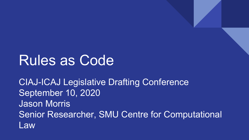### Rules as Code

CIAJ-ICAJ Legislative Drafting Conference September 10, 2020 Jason Morris Senior Researcher, SMU Centre for Computational Law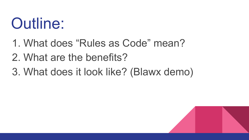# Outline:

- 1. What does "Rules as Code" mean?
- 2. What are the benefits?
- 3. What does it look like? (Blawx demo)

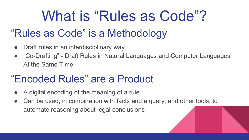# What is "Rules as Code"?

### "Rules as Code" is a Methodology

- Draft rules in an interdisciplinary way
- "Co-Drafting" Draft Rules in Natural Languages and Computer Languages At the Same Time

### "Encoded Rules" are a Product

- A digital encoding of the meaning of a rule
- Can be used, in combination with facts and a query, and other tools, to automate reasoning about legal conclusions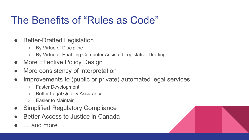#### The Benefits of "Rules as Code"

- Better-Drafted Legislation
	- By Virtue of Discipline
	- By Virtue of Enabling Computer Assisted Legislative Drafting
- More Effective Policy Design
- More consistency of interpretation
- Improvements to (public or private) automated legal services
	- Faster Development
	- Better Legal Quality Assurance
	- Easier to Maintain
- **Simplified Regulatory Compliance**
- Better Access to Justice in Canada
- $\blacksquare$  and more  $\blacksquare$

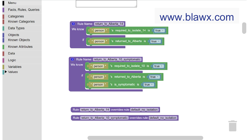

Rule return to Alberta 10 symptomatic overrides rule default no isolation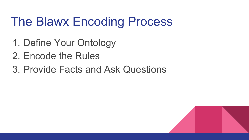### The Blawx Encoding Process

- 1. Define Your Ontology
- 2. Encode the Rules
- 3. Provide Facts and Ask Questions

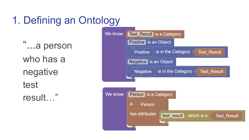### 1. Defining an Ontology

"...a person who has a negative test result…"

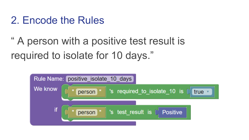#### 2. Encode the Rules

### " A person with a positive test result is required to isolate for 10 days."

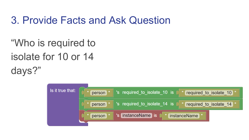#### 3. Provide Facts and Ask Question

"Who is required to isolate for 10 or 14 days?"

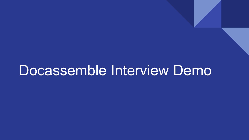### Docassemble Interview Demo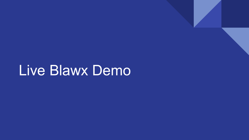## Live Blawx Demo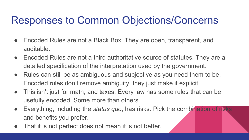#### Responses to Common Objections/Concerns

- Encoded Rules are not a Black Box. They are open, transparent, and auditable.
- Encoded Rules are not a third authoritative source of statutes. They are a detailed specification of the interpretation used by the government.
- Rules can still be as ambiguous and subjective as you need them to be. Encoded rules don't remove ambiguity, they just make it explicit.
- This isn't just for math, and taxes. Every law has some rules that can be usefully encoded. Some more than others.
- Everything, including the *status quo*, has risks. Pick the combination of risks and benefits you prefer.
- That it is not perfect does not mean it is not better.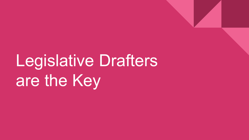# Legislative Drafters are the Key